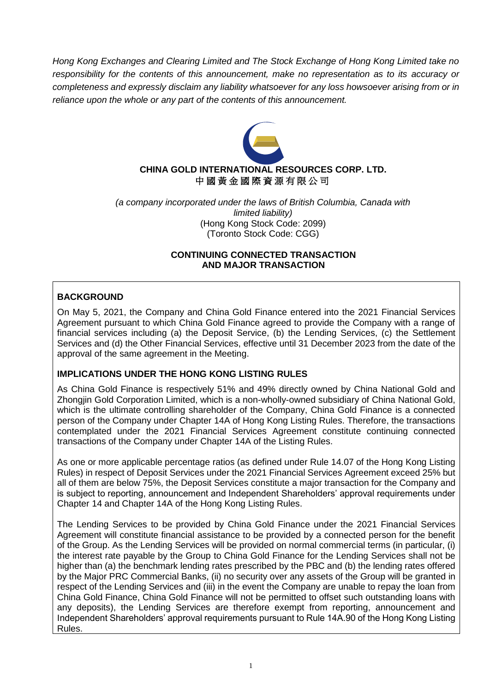*Hong Kong Exchanges and Clearing Limited and The Stock Exchange of Hong Kong Limited take no responsibility for the contents of this announcement, make no representation as to its accuracy or completeness and expressly disclaim any liability whatsoever for any loss howsoever arising from or in reliance upon the whole or any part of the contents of this announcement.*



# **CHINA GOLD INTERNATIONAL RESOURCES CORP. LTD.** 中 國 黃 金 國 際 資 源 有 限 公 司

*(a company incorporated under the laws of British Columbia, Canada with limited liability)* (Hong Kong Stock Code: 2099) (Toronto Stock Code: CGG)

# **CONTINUING CONNECTED TRANSACTION AND MAJOR TRANSACTION**

# **BACKGROUND**

On May 5, 2021, the Company and China Gold Finance entered into the 2021 Financial Services Agreement pursuant to which China Gold Finance agreed to provide the Company with a range of financial services including (a) the Deposit Service, (b) the Lending Services, (c) the Settlement Services and (d) the Other Financial Services, effective until 31 December 2023 from the date of the approval of the same agreement in the Meeting.

# **IMPLICATIONS UNDER THE HONG KONG LISTING RULES**

As China Gold Finance is respectively 51% and 49% directly owned by China National Gold and Zhongjin Gold Corporation Limited, which is a non-wholly-owned subsidiary of China National Gold, which is the ultimate controlling shareholder of the Company, China Gold Finance is a connected person of the Company under Chapter 14A of Hong Kong Listing Rules. Therefore, the transactions contemplated under the 2021 Financial Services Agreement constitute continuing connected transactions of the Company under Chapter 14A of the Listing Rules.

As one or more applicable percentage ratios (as defined under Rule 14.07 of the Hong Kong Listing Rules) in respect of Deposit Services under the 2021 Financial Services Agreement exceed 25% but all of them are below 75%, the Deposit Services constitute a major transaction for the Company and is subject to reporting, announcement and Independent Shareholders' approval requirements under Chapter 14 and Chapter 14A of the Hong Kong Listing Rules.

The Lending Services to be provided by China Gold Finance under the 2021 Financial Services Agreement will constitute financial assistance to be provided by a connected person for the benefit of the Group. As the Lending Services will be provided on normal commercial terms (in particular, (i) the interest rate payable by the Group to China Gold Finance for the Lending Services shall not be higher than (a) the benchmark lending rates prescribed by the PBC and (b) the lending rates offered by the Major PRC Commercial Banks, (ii) no security over any assets of the Group will be granted in respect of the Lending Services and (iii) in the event the Company are unable to repay the loan from China Gold Finance, China Gold Finance will not be permitted to offset such outstanding loans with any deposits), the Lending Services are therefore exempt from reporting, announcement and Independent Shareholders' approval requirements pursuant to Rule 14A.90 of the Hong Kong Listing Rules.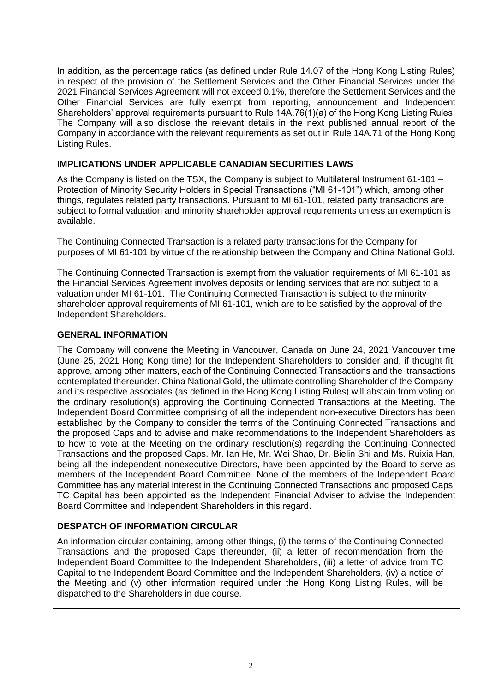In addition, as the percentage ratios (as defined under Rule 14.07 of the Hong Kong Listing Rules) in respect of the provision of the Settlement Services and the Other Financial Services under the 2021 Financial Services Agreement will not exceed 0.1%, therefore the Settlement Services and the Other Financial Services are fully exempt from reporting, announcement and Independent Shareholders' approval requirements pursuant to Rule 14A.76(1)(a) of the Hong Kong Listing Rules. The Company will also disclose the relevant details in the next published annual report of the Company in accordance with the relevant requirements as set out in Rule 14A.71 of the Hong Kong Listing Rules.

# **IMPLICATIONS UNDER APPLICABLE CANADIAN SECURITIES LAWS**

As the Company is listed on the TSX, the Company is subject to Multilateral Instrument 61-101 – Protection of Minority Security Holders in Special Transactions ("MI 61-101") which, among other things, regulates related party transactions. Pursuant to MI 61-101, related party transactions are subject to formal valuation and minority shareholder approval requirements unless an exemption is available.

The Continuing Connected Transaction is a related party transactions for the Company for purposes of MI 61-101 by virtue of the relationship between the Company and China National Gold.

The Continuing Connected Transaction is exempt from the valuation requirements of MI 61-101 as the Financial Services Agreement involves deposits or lending services that are not subject to a valuation under MI 61-101. The Continuing Connected Transaction is subject to the minority shareholder approval requirements of MI 61-101, which are to be satisfied by the approval of the Independent Shareholders.

# **GENERAL INFORMATION**

The Company will convene the Meeting in Vancouver, Canada on June 24, 2021 Vancouver time (June 25, 2021 Hong Kong time) for the Independent Shareholders to consider and, if thought fit, approve, among other matters, each of the Continuing Connected Transactions and the transactions contemplated thereunder. China National Gold, the ultimate controlling Shareholder of the Company, and its respective associates (as defined in the Hong Kong Listing Rules) will abstain from voting on the ordinary resolution(s) approving the Continuing Connected Transactions at the Meeting. The Independent Board Committee comprising of all the independent non-executive Directors has been established by the Company to consider the terms of the Continuing Connected Transactions and the proposed Caps and to advise and make recommendations to the Independent Shareholders as to how to vote at the Meeting on the ordinary resolution(s) regarding the Continuing Connected Transactions and the proposed Caps. Mr. Ian He, Mr. Wei Shao, Dr. Bielin Shi and Ms. Ruixia Han, being all the independent nonexecutive Directors, have been appointed by the Board to serve as members of the Independent Board Committee. None of the members of the Independent Board Committee has any material interest in the Continuing Connected Transactions and proposed Caps. TC Capital has been appointed as the Independent Financial Adviser to advise the Independent Board Committee and Independent Shareholders in this regard.

# **DESPATCH OF INFORMATION CIRCULAR**

An information circular containing, among other things, (i) the terms of the Continuing Connected Transactions and the proposed Caps thereunder, (ii) a letter of recommendation from the Independent Board Committee to the Independent Shareholders, (iii) a letter of advice from TC Capital to the Independent Board Committee and the Independent Shareholders, (iv) a notice of the Meeting and (v) other information required under the Hong Kong Listing Rules, will be dispatched to the Shareholders in due course.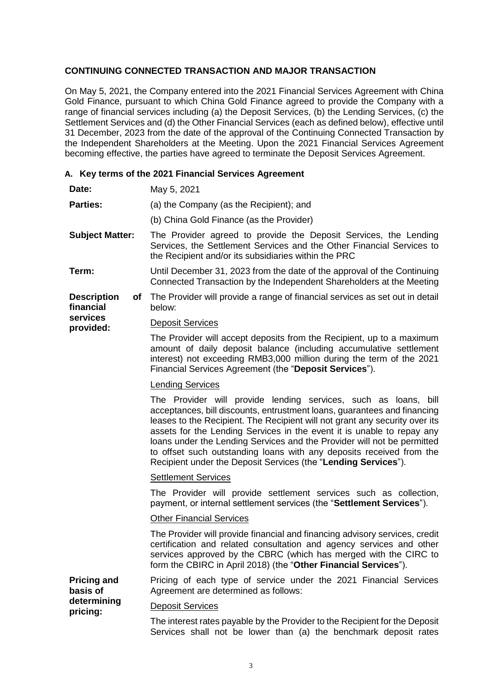## **CONTINUING CONNECTED TRANSACTION AND MAJOR TRANSACTION**

On May 5, 2021, the Company entered into the 2021 Financial Services Agreement with China Gold Finance, pursuant to which China Gold Finance agreed to provide the Company with a range of financial services including (a) the Deposit Services, (b) the Lending Services, (c) the Settlement Services and (d) the Other Financial Services (each as defined below), effective until 31 December, 2023 from the date of the approval of the Continuing Connected Transaction by the Independent Shareholders at the Meeting. Upon the 2021 Financial Services Agreement becoming effective, the parties have agreed to terminate the Deposit Services Agreement.

### **A. Key terms of the 2021 Financial Services Agreement**

- **Date:** May 5, 2021
- **Parties:** (a) the Company (as the Recipient); and
	- (b) China Gold Finance (as the Provider)
- **Subject Matter:** The Provider agreed to provide the Deposit Services, the Lending Services, the Settlement Services and the Other Financial Services to the Recipient and/or its subsidiaries within the PRC
- **Term:** Until December 31, 2023 from the date of the approval of the Continuing Connected Transaction by the Independent Shareholders at the Meeting
- **Description financial**  of The Provider will provide a range of financial services as set out in detail below:
- **services provided:** Deposit Services

The Provider will accept deposits from the Recipient, up to a maximum amount of daily deposit balance (including accumulative settlement interest) not exceeding RMB3,000 million during the term of the 2021 Financial Services Agreement (the "**Deposit Services**").

### Lending Services

The Provider will provide lending services, such as loans, bill acceptances, bill discounts, entrustment loans, guarantees and financing leases to the Recipient. The Recipient will not grant any security over its assets for the Lending Services in the event it is unable to repay any loans under the Lending Services and the Provider will not be permitted to offset such outstanding loans with any deposits received from the Recipient under the Deposit Services (the "**Lending Services**").

### Settlement Services

The Provider will provide settlement services such as collection, payment, or internal settlement services (the "**Settlement Services**").

## Other Financial Services

The Provider will provide financial and financing advisory services, credit certification and related consultation and agency services and other services approved by the CBRC (which has merged with the CIRC to form the CBIRC in April 2018) (the "**Other Financial Services**").

**Pricing and basis of determining pricing:** Pricing of each type of service under the 2021 Financial Services Agreement are determined as follows: Deposit Services

> The interest rates payable by the Provider to the Recipient for the Deposit Services shall not be lower than (a) the benchmark deposit rates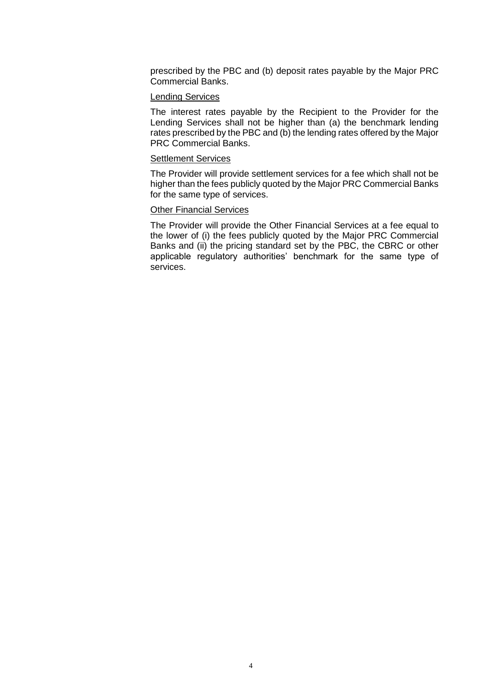prescribed by the PBC and (b) deposit rates payable by the Major PRC Commercial Banks.

### Lending Services

The interest rates payable by the Recipient to the Provider for the Lending Services shall not be higher than (a) the benchmark lending rates prescribed by the PBC and (b) the lending rates offered by the Major PRC Commercial Banks.

#### Settlement Services

The Provider will provide settlement services for a fee which shall not be higher than the fees publicly quoted by the Major PRC Commercial Banks for the same type of services.

#### Other Financial Services

The Provider will provide the Other Financial Services at a fee equal to the lower of (i) the fees publicly quoted by the Major PRC Commercial Banks and (ii) the pricing standard set by the PBC, the CBRC or other applicable regulatory authorities' benchmark for the same type of services.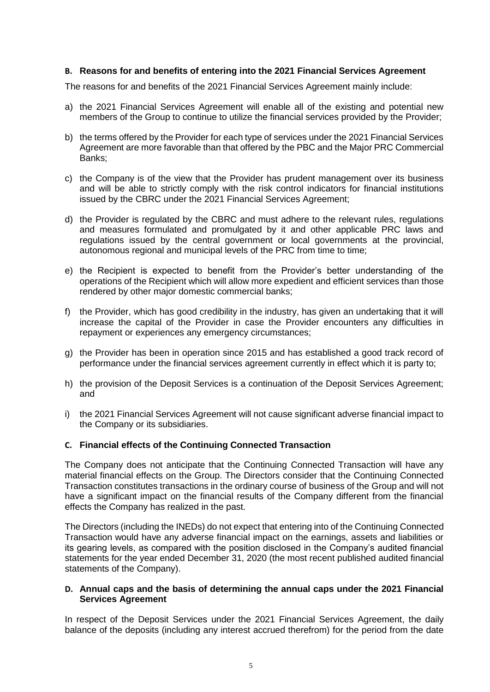## **B. Reasons for and benefits of entering into the 2021 Financial Services Agreement**

The reasons for and benefits of the 2021 Financial Services Agreement mainly include:

- a) the 2021 Financial Services Agreement will enable all of the existing and potential new members of the Group to continue to utilize the financial services provided by the Provider;
- b) the terms offered by the Provider for each type of services under the 2021 Financial Services Agreement are more favorable than that offered by the PBC and the Major PRC Commercial Banks;
- c) the Company is of the view that the Provider has prudent management over its business and will be able to strictly comply with the risk control indicators for financial institutions issued by the CBRC under the 2021 Financial Services Agreement;
- d) the Provider is regulated by the CBRC and must adhere to the relevant rules, regulations and measures formulated and promulgated by it and other applicable PRC laws and regulations issued by the central government or local governments at the provincial, autonomous regional and municipal levels of the PRC from time to time;
- e) the Recipient is expected to benefit from the Provider's better understanding of the operations of the Recipient which will allow more expedient and efficient services than those rendered by other major domestic commercial banks;
- f) the Provider, which has good credibility in the industry, has given an undertaking that it will increase the capital of the Provider in case the Provider encounters any difficulties in repayment or experiences any emergency circumstances;
- g) the Provider has been in operation since 2015 and has established a good track record of performance under the financial services agreement currently in effect which it is party to;
- h) the provision of the Deposit Services is a continuation of the Deposit Services Agreement; and
- i) the 2021 Financial Services Agreement will not cause significant adverse financial impact to the Company or its subsidiaries.

## **C. Financial effects of the Continuing Connected Transaction**

The Company does not anticipate that the Continuing Connected Transaction will have any material financial effects on the Group. The Directors consider that the Continuing Connected Transaction constitutes transactions in the ordinary course of business of the Group and will not have a significant impact on the financial results of the Company different from the financial effects the Company has realized in the past.

The Directors (including the INEDs) do not expect that entering into of the Continuing Connected Transaction would have any adverse financial impact on the earnings, assets and liabilities or its gearing levels, as compared with the position disclosed in the Company's audited financial statements for the year ended December 31, 2020 (the most recent published audited financial statements of the Company).

### **D. Annual caps and the basis of determining the annual caps under the 2021 Financial Services Agreement**

In respect of the Deposit Services under the 2021 Financial Services Agreement, the daily balance of the deposits (including any interest accrued therefrom) for the period from the date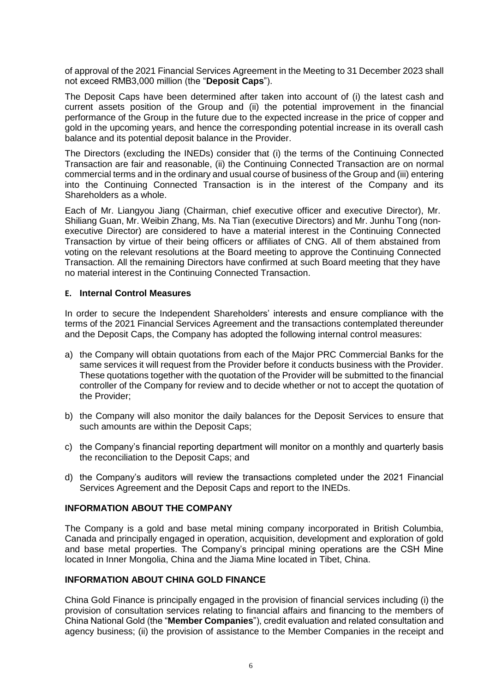of approval of the 2021 Financial Services Agreement in the Meeting to 31 December 2023 shall not exceed RMB3,000 million (the "**Deposit Caps**").

The Deposit Caps have been determined after taken into account of (i) the latest cash and current assets position of the Group and (ii) the potential improvement in the financial performance of the Group in the future due to the expected increase in the price of copper and gold in the upcoming years, and hence the corresponding potential increase in its overall cash balance and its potential deposit balance in the Provider.

The Directors (excluding the INEDs) consider that (i) the terms of the Continuing Connected Transaction are fair and reasonable, (ii) the Continuing Connected Transaction are on normal commercial terms and in the ordinary and usual course of business of the Group and (iii) entering into the Continuing Connected Transaction is in the interest of the Company and its Shareholders as a whole.

Each of Mr. Liangyou Jiang (Chairman, chief executive officer and executive Director), Mr. Shiliang Guan, Mr. Weibin Zhang, Ms. Na Tian (executive Directors) and Mr. Junhu Tong (nonexecutive Director) are considered to have a material interest in the Continuing Connected Transaction by virtue of their being officers or affiliates of CNG. All of them abstained from voting on the relevant resolutions at the Board meeting to approve the Continuing Connected Transaction. All the remaining Directors have confirmed at such Board meeting that they have no material interest in the Continuing Connected Transaction.

#### **E. Internal Control Measures**

In order to secure the Independent Shareholders' interests and ensure compliance with the terms of the 2021 Financial Services Agreement and the transactions contemplated thereunder and the Deposit Caps, the Company has adopted the following internal control measures:

- a) the Company will obtain quotations from each of the Major PRC Commercial Banks for the same services it will request from the Provider before it conducts business with the Provider. These quotations together with the quotation of the Provider will be submitted to the financial controller of the Company for review and to decide whether or not to accept the quotation of the Provider;
- b) the Company will also monitor the daily balances for the Deposit Services to ensure that such amounts are within the Deposit Caps;
- c) the Company's financial reporting department will monitor on a monthly and quarterly basis the reconciliation to the Deposit Caps; and
- d) the Company's auditors will review the transactions completed under the 2021 Financial Services Agreement and the Deposit Caps and report to the INEDs.

#### **INFORMATION ABOUT THE COMPANY**

The Company is a gold and base metal mining company incorporated in British Columbia, Canada and principally engaged in operation, acquisition, development and exploration of gold and base metal properties. The Company's principal mining operations are the CSH Mine located in Inner Mongolia, China and the Jiama Mine located in Tibet, China.

### **INFORMATION ABOUT CHINA GOLD FINANCE**

China Gold Finance is principally engaged in the provision of financial services including (i) the provision of consultation services relating to financial affairs and financing to the members of China National Gold (the "**Member Companies**"), credit evaluation and related consultation and agency business; (ii) the provision of assistance to the Member Companies in the receipt and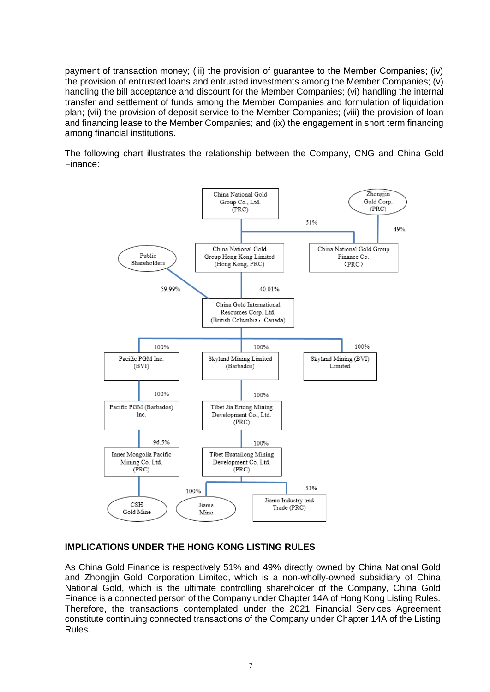payment of transaction money; (iii) the provision of guarantee to the Member Companies; (iv) the provision of entrusted loans and entrusted investments among the Member Companies; (v) handling the bill acceptance and discount for the Member Companies; (vi) handling the internal transfer and settlement of funds among the Member Companies and formulation of liquidation plan; (vii) the provision of deposit service to the Member Companies; (viii) the provision of loan and financing lease to the Member Companies; and (ix) the engagement in short term financing among financial institutions.

The following chart illustrates the relationship between the Company, CNG and China Gold Finance:



## **IMPLICATIONS UNDER THE HONG KONG LISTING RULES**

As China Gold Finance is respectively 51% and 49% directly owned by China National Gold and Zhongjin Gold Corporation Limited, which is a non-wholly-owned subsidiary of China National Gold, which is the ultimate controlling shareholder of the Company, China Gold Finance is a connected person of the Company under Chapter 14A of Hong Kong Listing Rules. Therefore, the transactions contemplated under the 2021 Financial Services Agreement constitute continuing connected transactions of the Company under Chapter 14A of the Listing Rules.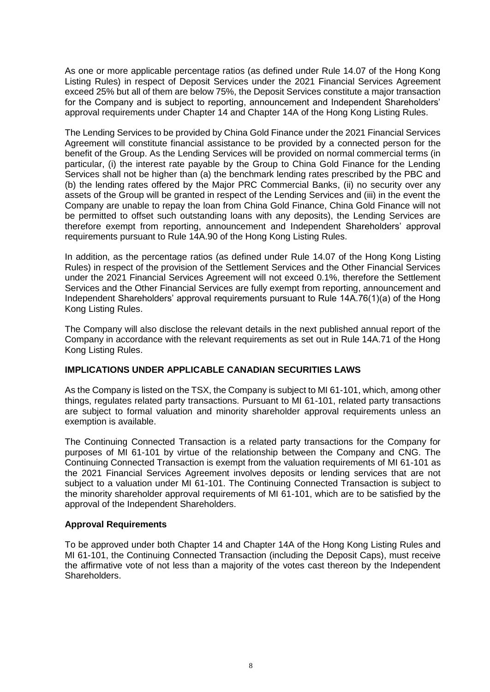As one or more applicable percentage ratios (as defined under Rule 14.07 of the Hong Kong Listing Rules) in respect of Deposit Services under the 2021 Financial Services Agreement exceed 25% but all of them are below 75%, the Deposit Services constitute a major transaction for the Company and is subject to reporting, announcement and Independent Shareholders' approval requirements under Chapter 14 and Chapter 14A of the Hong Kong Listing Rules.

The Lending Services to be provided by China Gold Finance under the 2021 Financial Services Agreement will constitute financial assistance to be provided by a connected person for the benefit of the Group. As the Lending Services will be provided on normal commercial terms (in particular, (i) the interest rate payable by the Group to China Gold Finance for the Lending Services shall not be higher than (a) the benchmark lending rates prescribed by the PBC and (b) the lending rates offered by the Major PRC Commercial Banks, (ii) no security over any assets of the Group will be granted in respect of the Lending Services and (iii) in the event the Company are unable to repay the loan from China Gold Finance, China Gold Finance will not be permitted to offset such outstanding loans with any deposits), the Lending Services are therefore exempt from reporting, announcement and Independent Shareholders' approval requirements pursuant to Rule 14A.90 of the Hong Kong Listing Rules.

In addition, as the percentage ratios (as defined under Rule 14.07 of the Hong Kong Listing Rules) in respect of the provision of the Settlement Services and the Other Financial Services under the 2021 Financial Services Agreement will not exceed 0.1%, therefore the Settlement Services and the Other Financial Services are fully exempt from reporting, announcement and Independent Shareholders' approval requirements pursuant to Rule 14A.76(1)(a) of the Hong Kong Listing Rules.

The Company will also disclose the relevant details in the next published annual report of the Company in accordance with the relevant requirements as set out in Rule 14A.71 of the Hong Kong Listing Rules.

### **IMPLICATIONS UNDER APPLICABLE CANADIAN SECURITIES LAWS**

As the Company is listed on the TSX, the Company is subject to MI 61-101, which, among other things, regulates related party transactions. Pursuant to MI 61-101, related party transactions are subject to formal valuation and minority shareholder approval requirements unless an exemption is available.

The Continuing Connected Transaction is a related party transactions for the Company for purposes of MI 61-101 by virtue of the relationship between the Company and CNG. The Continuing Connected Transaction is exempt from the valuation requirements of MI 61-101 as the 2021 Financial Services Agreement involves deposits or lending services that are not subject to a valuation under MI 61-101. The Continuing Connected Transaction is subject to the minority shareholder approval requirements of MI 61-101, which are to be satisfied by the approval of the Independent Shareholders.

### **Approval Requirements**

To be approved under both Chapter 14 and Chapter 14A of the Hong Kong Listing Rules and MI 61-101, the Continuing Connected Transaction (including the Deposit Caps), must receive the affirmative vote of not less than a majority of the votes cast thereon by the Independent Shareholders.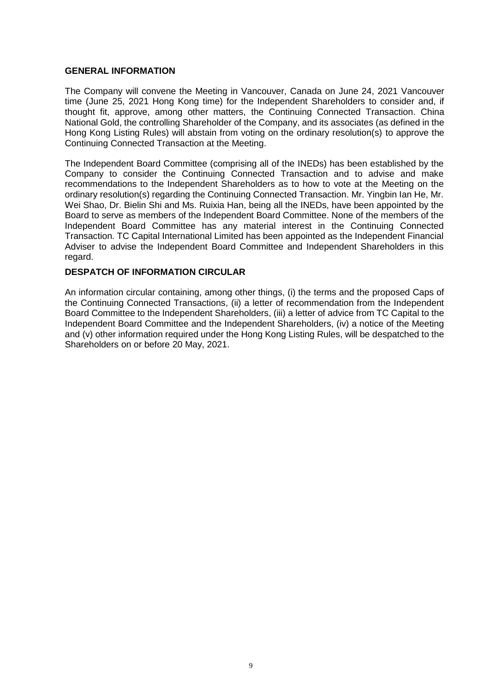### **GENERAL INFORMATION**

The Company will convene the Meeting in Vancouver, Canada on June 24, 2021 Vancouver time (June 25, 2021 Hong Kong time) for the Independent Shareholders to consider and, if thought fit, approve, among other matters, the Continuing Connected Transaction. China National Gold, the controlling Shareholder of the Company, and its associates (as defined in the Hong Kong Listing Rules) will abstain from voting on the ordinary resolution(s) to approve the Continuing Connected Transaction at the Meeting.

The Independent Board Committee (comprising all of the INEDs) has been established by the Company to consider the Continuing Connected Transaction and to advise and make recommendations to the Independent Shareholders as to how to vote at the Meeting on the ordinary resolution(s) regarding the Continuing Connected Transaction. Mr. Yingbin Ian He, Mr. Wei Shao, Dr. Bielin Shi and Ms. Ruixia Han, being all the INEDs, have been appointed by the Board to serve as members of the Independent Board Committee. None of the members of the Independent Board Committee has any material interest in the Continuing Connected Transaction. TC Capital International Limited has been appointed as the Independent Financial Adviser to advise the Independent Board Committee and Independent Shareholders in this regard.

### **DESPATCH OF INFORMATION CIRCULAR**

An information circular containing, among other things, (i) the terms and the proposed Caps of the Continuing Connected Transactions, (ii) a letter of recommendation from the Independent Board Committee to the Independent Shareholders, (iii) a letter of advice from TC Capital to the Independent Board Committee and the Independent Shareholders, (iv) a notice of the Meeting and (v) other information required under the Hong Kong Listing Rules, will be despatched to the Shareholders on or before 20 May, 2021.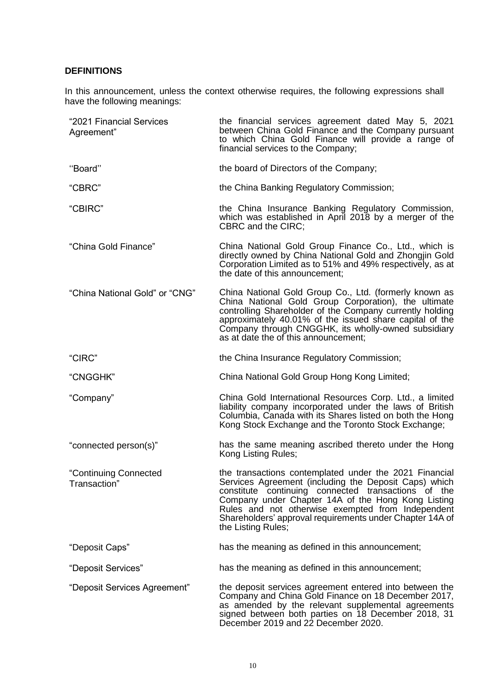# **DEFINITIONS**

In this announcement, unless the context otherwise requires, the following expressions shall have the following meanings:

| "2021 Financial Services<br>Agreement" | the financial services agreement dated May 5, 2021<br>between China Gold Finance and the Company pursuant<br>to which China Gold Finance will provide a range of<br>financial services to the Company;                                                                                                                                                              |
|----------------------------------------|---------------------------------------------------------------------------------------------------------------------------------------------------------------------------------------------------------------------------------------------------------------------------------------------------------------------------------------------------------------------|
| "Board"                                | the board of Directors of the Company;                                                                                                                                                                                                                                                                                                                              |
| "CBRC"                                 | the China Banking Regulatory Commission;                                                                                                                                                                                                                                                                                                                            |
| "CBIRC"                                | the China Insurance Banking Regulatory Commission,<br>which was established in April 2018 by a merger of the<br><b>CBRC</b> and the CIRC;                                                                                                                                                                                                                           |
| "China Gold Finance"                   | China National Gold Group Finance Co., Ltd., which is<br>directly owned by China National Gold and Zhongjin Gold<br>Corporation Limited as to 51% and 49% respectively, as at<br>the date of this announcement;                                                                                                                                                     |
| "China National Gold" or "CNG"         | China National Gold Group Co., Ltd. (formerly known as<br>China National Gold Group Corporation), the ultimate<br>controlling Shareholder of the Company currently holding<br>approximately 40.01% of the issued share capital of the<br>Company through CNGGHK, its wholly-owned subsidiary<br>as at date the of this announcement;                                |
| "CIRC"                                 | the China Insurance Regulatory Commission;                                                                                                                                                                                                                                                                                                                          |
| "CNGGHK"                               | China National Gold Group Hong Kong Limited;                                                                                                                                                                                                                                                                                                                        |
| "Company"                              | China Gold International Resources Corp. Ltd., a limited<br>liability company incorporated under the laws of British<br>Columbia, Canada with its Shares listed on both the Hong<br>Kong Stock Exchange and the Toronto Stock Exchange;                                                                                                                             |
| "connected person(s)"                  | has the same meaning ascribed thereto under the Hong<br>Kong Listing Rules;                                                                                                                                                                                                                                                                                         |
| "Continuing Connected<br>Transaction"  | the transactions contemplated under the 2021 Financial<br>Services Agreement (including the Deposit Caps) which<br>constitute continuing connected transactions of the<br>Company under Chapter 14A of the Hong Kong Listing<br>Rules and not otherwise exempted from Independent<br>Shareholders' approval requirements under Chapter 14A of<br>the Listing Rules; |
| "Deposit Caps"                         | has the meaning as defined in this announcement;                                                                                                                                                                                                                                                                                                                    |
| "Deposit Services"                     | has the meaning as defined in this announcement;                                                                                                                                                                                                                                                                                                                    |
| "Deposit Services Agreement"           | the deposit services agreement entered into between the<br>Company and China Gold Finance on 18 December 2017,<br>as amended by the relevant supplemental agreements<br>signed between both parties on 18 December 2018, 31<br>December 2019 and 22 December 2020.                                                                                                  |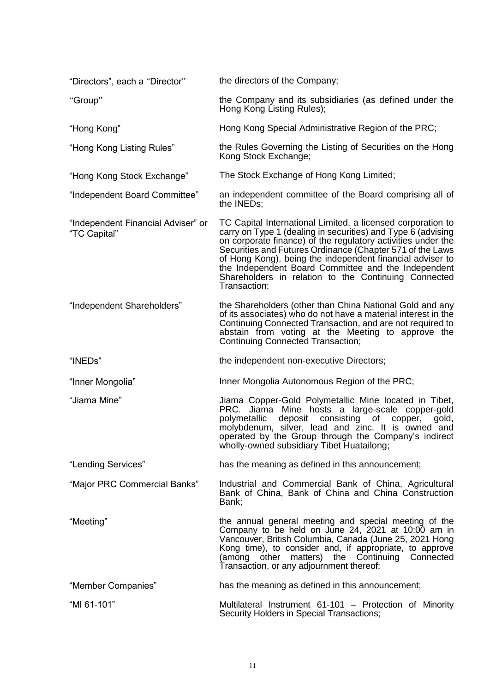| "Directors", each a "Director"                     | the directors of the Company;                                                                                                                                                                                                                                                                                                                                                                                                                        |
|----------------------------------------------------|------------------------------------------------------------------------------------------------------------------------------------------------------------------------------------------------------------------------------------------------------------------------------------------------------------------------------------------------------------------------------------------------------------------------------------------------------|
| "Group"                                            | the Company and its subsidiaries (as defined under the<br>Hong Kong Listing Rules);                                                                                                                                                                                                                                                                                                                                                                  |
| "Hong Kong"                                        | Hong Kong Special Administrative Region of the PRC;                                                                                                                                                                                                                                                                                                                                                                                                  |
| "Hong Kong Listing Rules"                          | the Rules Governing the Listing of Securities on the Hong<br>Kong Stock Exchange;                                                                                                                                                                                                                                                                                                                                                                    |
| "Hong Kong Stock Exchange"                         | The Stock Exchange of Hong Kong Limited;                                                                                                                                                                                                                                                                                                                                                                                                             |
| "Independent Board Committee"                      | an independent committee of the Board comprising all of<br>the INEDs;                                                                                                                                                                                                                                                                                                                                                                                |
| "Independent Financial Adviser" or<br>"TC Capital" | TC Capital International Limited, a licensed corporation to<br>carry on Type 1 (dealing in securities) and Type 6 (advising<br>on corporate finance) of the regulatory activities under the<br>Securities and Futures Ordinance (Chapter 571 of the Laws<br>of Hong Kong), being the independent financial adviser to<br>the Independent Board Committee and the Independent<br>Shareholders in relation to the Continuing Connected<br>Transaction; |
| "Independent Shareholders"                         | the Shareholders (other than China National Gold and any<br>of its associates) who do not have a material interest in the<br>Continuing Connected Transaction, and are not required to<br>abstain from voting at the Meeting to approve the<br><b>Continuing Connected Transaction;</b>                                                                                                                                                              |
| "INEDs"                                            | the independent non-executive Directors;                                                                                                                                                                                                                                                                                                                                                                                                             |
| "Inner Mongolia"                                   | Inner Mongolia Autonomous Region of the PRC;                                                                                                                                                                                                                                                                                                                                                                                                         |
| "Jiama Mine"                                       | Jiama Copper-Gold Polymetallic Mine located in Tibet,<br>PRC. Jiama Mine hosts a large-scale copper-gold<br>deposit consisting of copper,<br>polymetallic<br>gold,<br>molybdenum, silver, lead and zinc. It is owned and<br>operated by the Group through the Company's indirect<br>wholly-owned subsidiary Tibet Huatailong;                                                                                                                        |
| "Lending Services"                                 | has the meaning as defined in this announcement;                                                                                                                                                                                                                                                                                                                                                                                                     |
| "Major PRC Commercial Banks"                       | Industrial and Commercial Bank of China, Agricultural<br>Bank of China, Bank of China and China Construction<br>Bank:                                                                                                                                                                                                                                                                                                                                |
| "Meeting"                                          | the annual general meeting and special meeting of the<br>Company to be held on June 24, 2021 at 10:00 am in<br>Vancouver, British Columbia, Canada (June 25, 2021 Hong<br>Kong time), to consider and, if appropriate, to approve<br>(among other matters) the Continuing Connected<br>Transaction, or any adjournment thereof;                                                                                                                      |
| "Member Companies"                                 | has the meaning as defined in this announcement;                                                                                                                                                                                                                                                                                                                                                                                                     |
| "MI 61-101"                                        | Multilateral Instrument 61-101 - Protection of Minority<br>Security Holders in Special Transactions;                                                                                                                                                                                                                                                                                                                                                 |